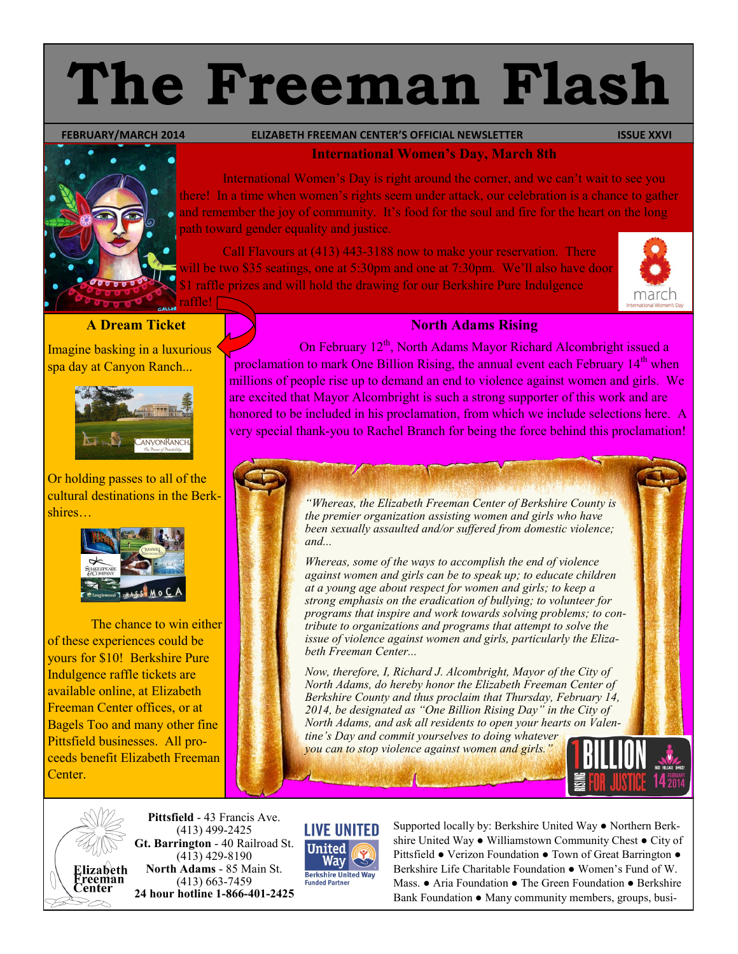# **The Freeman Flash**

#### **FEBRUARY/MARCH 2014 ELIZABETH FREEMAN CENTER'S OFFICIAL NEWSLETTER ISSUE XXVI**

## **International Women's Day, March 8th**

International Women's Day is right around the corner, and we can't wait to see you there! In a time when women's rights seem under attack, our celebration is a chance to gather and remember the joy of community. It's food for the soul and fire for the heart on the long path toward gender equality and justice.

Call Flavours at (413) 443-3188 now to make your reservation. There will be two \$35 seatings, one at 5:30pm and one at 7:30pm. We'll also have door \$1 raffle prizes and will hold the drawing for our Berkshire Pure Indulgence



#### **A Dream Ticket**

raffle!

Imagine basking in a luxurious spa day at Canyon Ranch...



Or holding passes to all of the cultural destinations in the Berkshires…



The chance to win either of these experiences could be yours for \$10! Berkshire Pure Indulgence raffle tickets are available online, at Elizabeth Freeman Center offices, or at Bagels Too and many other fine Pittsfield businesses. All proceeds benefit Elizabeth Freeman Center.

### **North Adams Rising**

On February 12<sup>th</sup>, North Adams Mayor Richard Alcombright issued a proclamation to mark One Billion Rising, the annual event each February  $14<sup>th</sup>$  when millions of people rise up to demand an end to violence against women and girls. We are excited that Mayor Alcombright is such a strong supporter of this work and are honored to be included in his proclamation, from which we include selections here. A very special thank-you to Rachel Branch for being the force behind this proclamation!

> *"Whereas, the Elizabeth Freeman Center of Berkshire County is the premier organization assisting women and girls who have been sexually assaulted and/or suffered from domestic violence; and...*

*Whereas, some of the ways to accomplish the end of violence against women and girls can be to speak up; to educate children at a young age about respect for women and girls; to keep a strong emphasis on the eradication of bullying; to volunteer for programs that inspire and work towards solving problems; to contribute to organizations and programs that attempt to solve the issue of violence against women and girls, particularly the Elizabeth Freeman Center...* 

*Now, therefore, I, Richard J. Alcombright, Mayor of the City of North Adams, do hereby honor the Elizabeth Freeman Center of Berkshire County and thus proclaim that Thursday, February 14, 2014, be designated as "One Billion Rising Day" in the City of North Adams, and ask all residents to open your hearts on Valentine's Day and commit yourselves to doing whatever* 

*you can to stop violence against women and girls."*

53



**Pittsfield** - 43 Francis Ave. (413) 499-2425 **Gt. Barrington** - 40 Railroad St. (413) 429-8190 **North Adams** - 85 Main St. (413) 663-7459 **24 hour hotline 1-866-401-2425**



Supported locally by: Berkshire United Way ● Northern Berkshire United Way ● Williamstown Community Chest ● City of Pittsfield ● Verizon Foundation ● Town of Great Barrington ● Berkshire Life Charitable Foundation ● Women's Fund of W. Mass. ● Aria Foundation ● The Green Foundation ● Berkshire Bank Foundation ● Many community members, groups, busi-